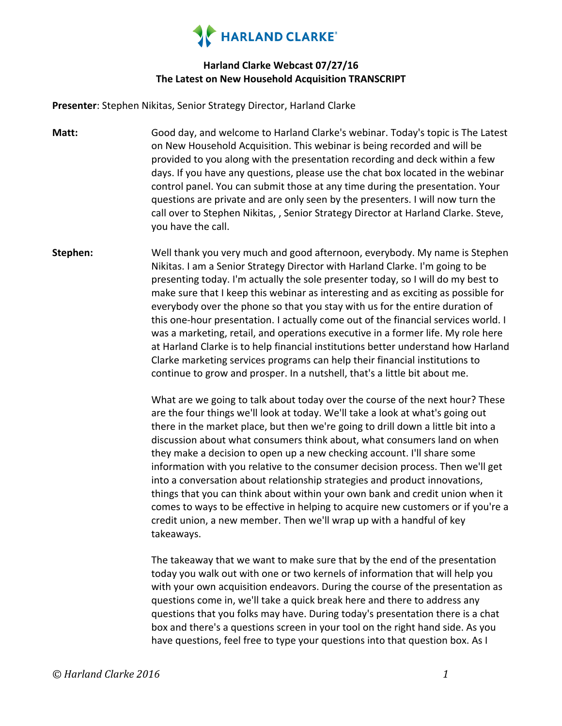

#### **Harland Clarke Webcast 07/27/16 The Latest on New Household Acquisition TRANSCRIPT**

**Presenter**: Stephen Nikitas, Senior Strategy Director, Harland Clarke

- **Matt:** Good day, and welcome to Harland Clarke's webinar. Today's topic is The Latest on New Household Acquisition. This webinar is being recorded and will be provided to you along with the presentation recording and deck within a few days. If you have any questions, please use the chat box located in the webinar control panel. You can submit those at any time during the presentation. Your questions are private and are only seen by the presenters. I will now turn the call over to Stephen Nikitas, , Senior Strategy Director at Harland Clarke. Steve, you have the call.
- **Stephen:** Well thank you very much and good afternoon, everybody. My name is Stephen Nikitas. I am a Senior Strategy Director with Harland Clarke. I'm going to be presenting today. I'm actually the sole presenter today, so I will do my best to make sure that I keep this webinar as interesting and as exciting as possible for everybody over the phone so that you stay with us for the entire duration of this one-hour presentation. I actually come out of the financial services world. I was a marketing, retail, and operations executive in a former life. My role here at Harland Clarke is to help financial institutions better understand how Harland Clarke marketing services programs can help their financial institutions to continue to grow and prosper. In a nutshell, that's a little bit about me.

What are we going to talk about today over the course of the next hour? These are the four things we'll look at today. We'll take a look at what's going out there in the market place, but then we're going to drill down a little bit into a discussion about what consumers think about, what consumers land on when they make a decision to open up a new checking account. I'll share some information with you relative to the consumer decision process. Then we'll get into a conversation about relationship strategies and product innovations, things that you can think about within your own bank and credit union when it comes to ways to be effective in helping to acquire new customers or if you're a credit union, a new member. Then we'll wrap up with a handful of key takeaways.

The takeaway that we want to make sure that by the end of the presentation today you walk out with one or two kernels of information that will help you with your own acquisition endeavors. During the course of the presentation as questions come in, we'll take a quick break here and there to address any questions that you folks may have. During today's presentation there is a chat box and there's a questions screen in your tool on the right hand side. As you have questions, feel free to type your questions into that question box. As I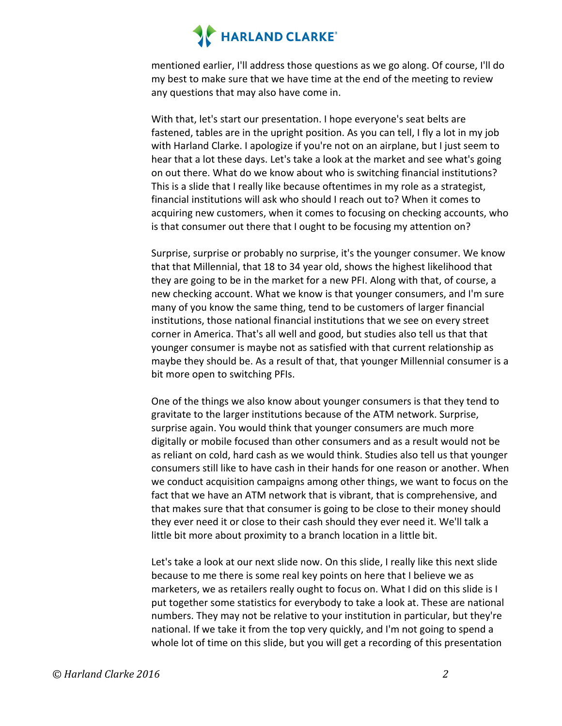mentioned earlier, I'll address those questions as we go along. Of course, I'll do my best to make sure that we have time at the end of the meeting to review any questions that may also have come in.

With that, let's start our presentation. I hope everyone's seat belts are fastened, tables are in the upright position. As you can tell, I fly a lot in my job with Harland Clarke. I apologize if you're not on an airplane, but I just seem to hear that a lot these days. Let's take a look at the market and see what's going on out there. What do we know about who is switching financial institutions? This is a slide that I really like because oftentimes in my role as a strategist, financial institutions will ask who should I reach out to? When it comes to acquiring new customers, when it comes to focusing on checking accounts, who is that consumer out there that I ought to be focusing my attention on?

Surprise, surprise or probably no surprise, it's the younger consumer. We know that that Millennial, that 18 to 34 year old, shows the highest likelihood that they are going to be in the market for a new PFI. Along with that, of course, a new checking account. What we know is that younger consumers, and I'm sure many of you know the same thing, tend to be customers of larger financial institutions, those national financial institutions that we see on every street corner in America. That's all well and good, but studies also tell us that that younger consumer is maybe not as satisfied with that current relationship as maybe they should be. As a result of that, that younger Millennial consumer is a bit more open to switching PFIs.

One of the things we also know about younger consumers is that they tend to gravitate to the larger institutions because of the ATM network. Surprise, surprise again. You would think that younger consumers are much more digitally or mobile focused than other consumers and as a result would not be as reliant on cold, hard cash as we would think. Studies also tell us that younger consumers still like to have cash in their hands for one reason or another. When we conduct acquisition campaigns among other things, we want to focus on the fact that we have an ATM network that is vibrant, that is comprehensive, and that makes sure that that consumer is going to be close to their money should they ever need it or close to their cash should they ever need it. We'll talk a little bit more about proximity to a branch location in a little bit.

Let's take a look at our next slide now. On this slide, I really like this next slide because to me there is some real key points on here that I believe we as marketers, we as retailers really ought to focus on. What I did on this slide is I put together some statistics for everybody to take a look at. These are national numbers. They may not be relative to your institution in particular, but they're national. If we take it from the top very quickly, and I'm not going to spend a whole lot of time on this slide, but you will get a recording of this presentation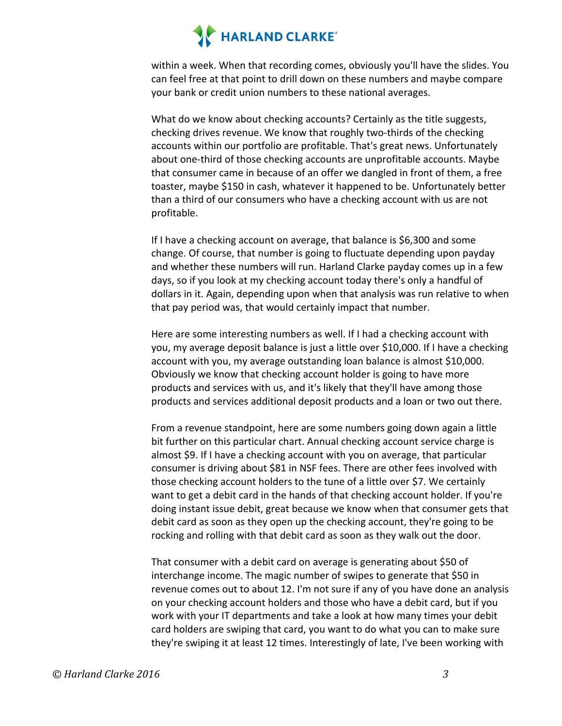within a week. When that recording comes, obviously you'll have the slides. You can feel free at that point to drill down on these numbers and maybe compare your bank or credit union numbers to these national averages.

What do we know about checking accounts? Certainly as the title suggests, checking drives revenue. We know that roughly two-thirds of the checking accounts within our portfolio are profitable. That's great news. Unfortunately about one-third of those checking accounts are unprofitable accounts. Maybe that consumer came in because of an offer we dangled in front of them, a free toaster, maybe \$150 in cash, whatever it happened to be. Unfortunately better than a third of our consumers who have a checking account with us are not profitable. 

If I have a checking account on average, that balance is  $$6,300$  and some change. Of course, that number is going to fluctuate depending upon payday and whether these numbers will run. Harland Clarke payday comes up in a few days, so if you look at my checking account today there's only a handful of dollars in it. Again, depending upon when that analysis was run relative to when that pay period was, that would certainly impact that number.

Here are some interesting numbers as well. If I had a checking account with you, my average deposit balance is just a little over \$10,000. If I have a checking account with you, my average outstanding loan balance is almost \$10,000. Obviously we know that checking account holder is going to have more products and services with us, and it's likely that they'll have among those products and services additional deposit products and a loan or two out there.

From a revenue standpoint, here are some numbers going down again a little bit further on this particular chart. Annual checking account service charge is almost \$9. If I have a checking account with you on average, that particular consumer is driving about \$81 in NSF fees. There are other fees involved with those checking account holders to the tune of a little over \$7. We certainly want to get a debit card in the hands of that checking account holder. If you're doing instant issue debit, great because we know when that consumer gets that debit card as soon as they open up the checking account, they're going to be rocking and rolling with that debit card as soon as they walk out the door.

That consumer with a debit card on average is generating about \$50 of interchange income. The magic number of swipes to generate that \$50 in revenue comes out to about 12. I'm not sure if any of you have done an analysis on your checking account holders and those who have a debit card, but if you work with your IT departments and take a look at how many times your debit card holders are swiping that card, you want to do what you can to make sure they're swiping it at least 12 times. Interestingly of late, I've been working with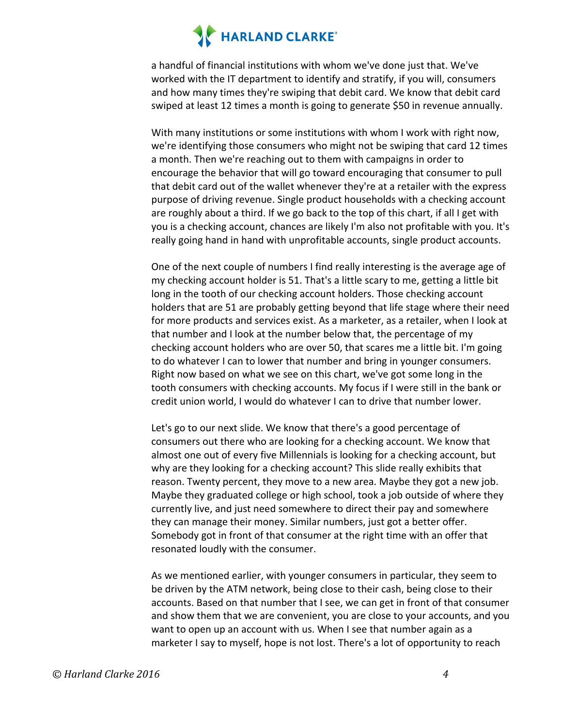a handful of financial institutions with whom we've done just that. We've worked with the IT department to identify and stratify, if you will, consumers and how many times they're swiping that debit card. We know that debit card swiped at least 12 times a month is going to generate \$50 in revenue annually.

With many institutions or some institutions with whom I work with right now, we're identifying those consumers who might not be swiping that card 12 times a month. Then we're reaching out to them with campaigns in order to encourage the behavior that will go toward encouraging that consumer to pull that debit card out of the wallet whenever they're at a retailer with the express purpose of driving revenue. Single product households with a checking account are roughly about a third. If we go back to the top of this chart, if all I get with you is a checking account, chances are likely I'm also not profitable with you. It's really going hand in hand with unprofitable accounts, single product accounts.

One of the next couple of numbers I find really interesting is the average age of my checking account holder is 51. That's a little scary to me, getting a little bit long in the tooth of our checking account holders. Those checking account holders that are 51 are probably getting beyond that life stage where their need for more products and services exist. As a marketer, as a retailer, when I look at that number and I look at the number below that, the percentage of my checking account holders who are over 50, that scares me a little bit. I'm going to do whatever I can to lower that number and bring in younger consumers. Right now based on what we see on this chart, we've got some long in the tooth consumers with checking accounts. My focus if I were still in the bank or credit union world, I would do whatever I can to drive that number lower.

Let's go to our next slide. We know that there's a good percentage of consumers out there who are looking for a checking account. We know that almost one out of every five Millennials is looking for a checking account, but why are they looking for a checking account? This slide really exhibits that reason. Twenty percent, they move to a new area. Maybe they got a new job. Maybe they graduated college or high school, took a job outside of where they currently live, and just need somewhere to direct their pay and somewhere they can manage their money. Similar numbers, just got a better offer. Somebody got in front of that consumer at the right time with an offer that resonated loudly with the consumer.

As we mentioned earlier, with younger consumers in particular, they seem to be driven by the ATM network, being close to their cash, being close to their accounts. Based on that number that I see, we can get in front of that consumer and show them that we are convenient, you are close to your accounts, and you want to open up an account with us. When I see that number again as a marketer I say to myself, hope is not lost. There's a lot of opportunity to reach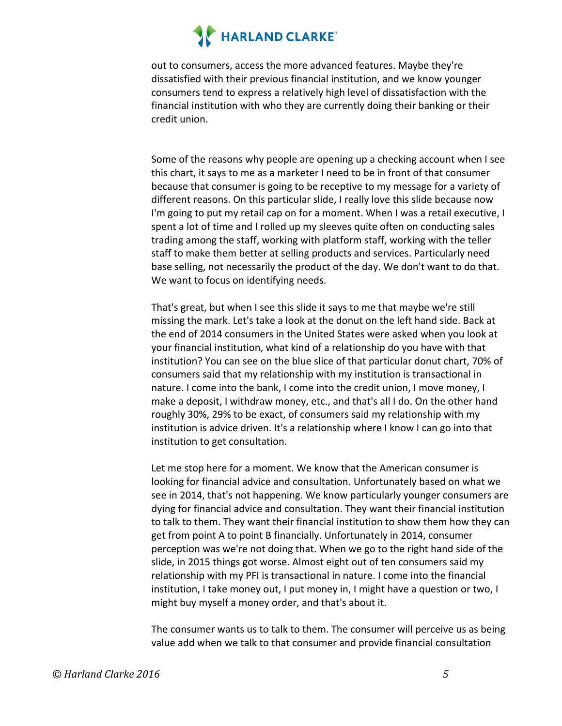out to consumers, access the more advanced features. Maybe they're dissatisfied with their previous financial institution, and we know younger consumers tend to express a relatively high level of dissatisfaction with the financial institution with who they are currently doing their banking or their credit union.

Some of the reasons why people are opening up a checking account when I see this chart, it says to me as a marketer I need to be in front of that consumer because that consumer is going to be receptive to my message for a variety of different reasons. On this particular slide, I really love this slide because now I'm going to put my retail cap on for a moment. When I was a retail executive, I spent a lot of time and I rolled up my sleeves quite often on conducting sales trading among the staff, working with platform staff, working with the teller staff to make them better at selling products and services. Particularly need base selling, not necessarily the product of the day. We don't want to do that. We want to focus on identifying needs.

That's great, but when I see this slide it says to me that maybe we're still missing the mark. Let's take a look at the donut on the left hand side. Back at the end of 2014 consumers in the United States were asked when you look at your financial institution, what kind of a relationship do you have with that institution? You can see on the blue slice of that particular donut chart, 70% of consumers said that my relationship with my institution is transactional in nature. I come into the bank, I come into the credit union, I move money, I make a deposit, I withdraw money, etc., and that's all I do. On the other hand roughly 30%, 29% to be exact, of consumers said my relationship with my institution is advice driven. It's a relationship where I know I can go into that institution to get consultation.

Let me stop here for a moment. We know that the American consumer is looking for financial advice and consultation. Unfortunately based on what we see in 2014, that's not happening. We know particularly younger consumers are dying for financial advice and consultation. They want their financial institution to talk to them. They want their financial institution to show them how they can get from point A to point B financially. Unfortunately in 2014, consumer perception was we're not doing that. When we go to the right hand side of the slide, in 2015 things got worse. Almost eight out of ten consumers said my relationship with my PFI is transactional in nature. I come into the financial institution, I take money out, I put money in, I might have a question or two, I might buy myself a money order, and that's about it.

The consumer wants us to talk to them. The consumer will perceive us as being value add when we talk to that consumer and provide financial consultation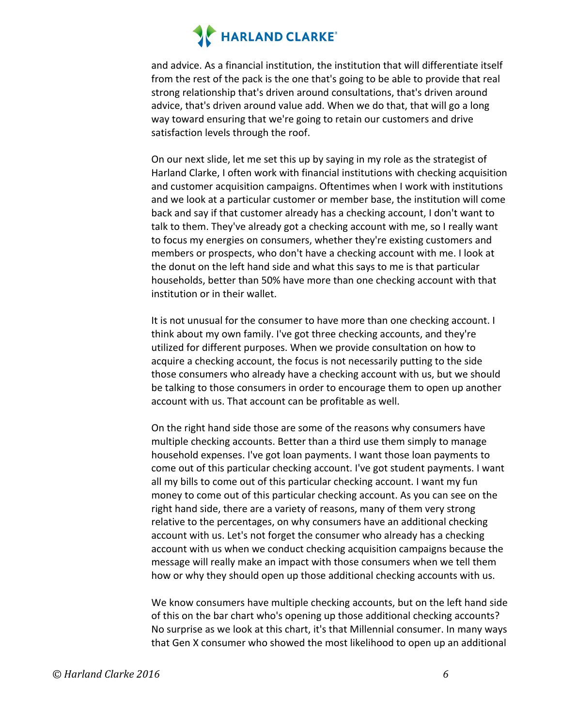and advice. As a financial institution, the institution that will differentiate itself from the rest of the pack is the one that's going to be able to provide that real strong relationship that's driven around consultations, that's driven around advice, that's driven around value add. When we do that, that will go a long way toward ensuring that we're going to retain our customers and drive satisfaction levels through the roof.

On our next slide, let me set this up by saying in my role as the strategist of Harland Clarke, I often work with financial institutions with checking acquisition and customer acquisition campaigns. Oftentimes when I work with institutions and we look at a particular customer or member base, the institution will come back and say if that customer already has a checking account, I don't want to talk to them. They've already got a checking account with me, so I really want to focus my energies on consumers, whether they're existing customers and members or prospects, who don't have a checking account with me. I look at the donut on the left hand side and what this says to me is that particular households, better than 50% have more than one checking account with that institution or in their wallet.

It is not unusual for the consumer to have more than one checking account. I think about my own family. I've got three checking accounts, and they're utilized for different purposes. When we provide consultation on how to acquire a checking account, the focus is not necessarily putting to the side those consumers who already have a checking account with us, but we should be talking to those consumers in order to encourage them to open up another account with us. That account can be profitable as well.

On the right hand side those are some of the reasons why consumers have multiple checking accounts. Better than a third use them simply to manage household expenses. I've got loan payments. I want those loan payments to come out of this particular checking account. I've got student payments. I want all my bills to come out of this particular checking account. I want my fun money to come out of this particular checking account. As you can see on the right hand side, there are a variety of reasons, many of them very strong relative to the percentages, on why consumers have an additional checking account with us. Let's not forget the consumer who already has a checking account with us when we conduct checking acquisition campaigns because the message will really make an impact with those consumers when we tell them how or why they should open up those additional checking accounts with us.

We know consumers have multiple checking accounts, but on the left hand side of this on the bar chart who's opening up those additional checking accounts? No surprise as we look at this chart, it's that Millennial consumer. In many ways that Gen X consumer who showed the most likelihood to open up an additional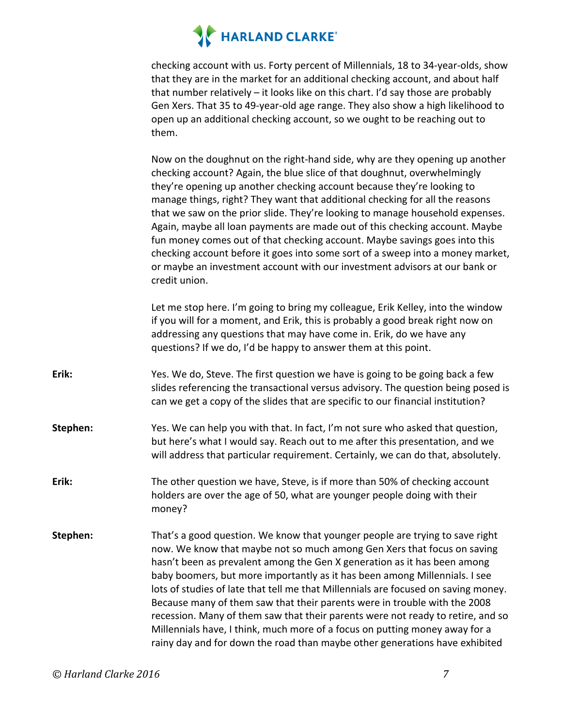checking account with us. Forty percent of Millennials, 18 to 34-year-olds, show that they are in the market for an additional checking account, and about half that number relatively  $-$  it looks like on this chart. I'd say those are probably Gen Xers. That 35 to 49-year-old age range. They also show a high likelihood to open up an additional checking account, so we ought to be reaching out to them. 

Now on the doughnut on the right-hand side, why are they opening up another checking account? Again, the blue slice of that doughnut, overwhelmingly they're opening up another checking account because they're looking to manage things, right? They want that additional checking for all the reasons that we saw on the prior slide. They're looking to manage household expenses. Again, maybe all loan payments are made out of this checking account. Maybe fun money comes out of that checking account. Maybe savings goes into this checking account before it goes into some sort of a sweep into a money market, or maybe an investment account with our investment advisors at our bank or credit union.

Let me stop here. I'm going to bring my colleague, Erik Kelley, into the window if you will for a moment, and Erik, this is probably a good break right now on addressing any questions that may have come in. Erik, do we have any questions? If we do, I'd be happy to answer them at this point.

- **Erik:** Yes. We do, Steve. The first question we have is going to be going back a few slides referencing the transactional versus advisory. The question being posed is can we get a copy of the slides that are specific to our financial institution?
- **Stephen:** Yes. We can help you with that. In fact, I'm not sure who asked that question, but here's what I would say. Reach out to me after this presentation, and we will address that particular requirement. Certainly, we can do that, absolutely.
- **Erik:** The other question we have, Steve, is if more than 50% of checking account holders are over the age of 50, what are younger people doing with their money?
- **Stephen:** That's a good question. We know that younger people are trying to save right now. We know that maybe not so much among Gen Xers that focus on saving hasn't been as prevalent among the Gen X generation as it has been among baby boomers, but more importantly as it has been among Millennials. I see lots of studies of late that tell me that Millennials are focused on saving money. Because many of them saw that their parents were in trouble with the 2008 recession. Many of them saw that their parents were not ready to retire, and so Millennials have, I think, much more of a focus on putting money away for a rainy day and for down the road than maybe other generations have exhibited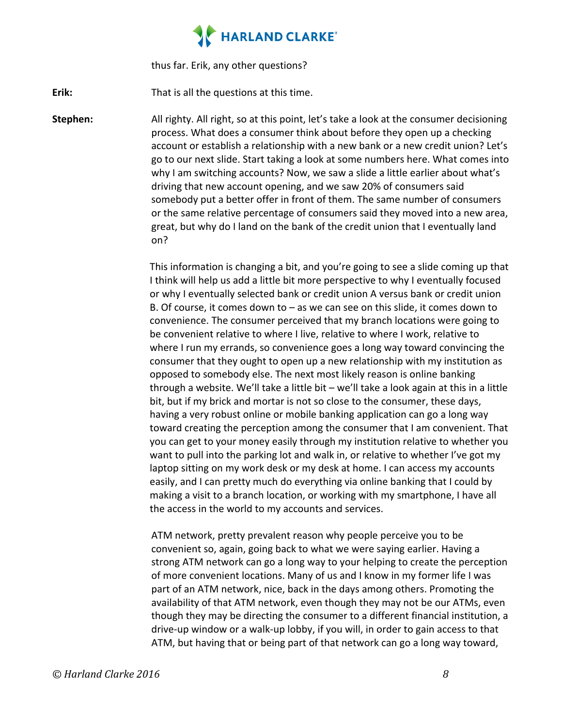thus far. Erik, any other questions?

**Erik:** That is all the questions at this time.

**Stephen:** All righty. All right, so at this point, let's take a look at the consumer decisioning process. What does a consumer think about before they open up a checking account or establish a relationship with a new bank or a new credit union? Let's go to our next slide. Start taking a look at some numbers here. What comes into why I am switching accounts? Now, we saw a slide a little earlier about what's driving that new account opening, and we saw 20% of consumers said somebody put a better offer in front of them. The same number of consumers or the same relative percentage of consumers said they moved into a new area, great, but why do I land on the bank of the credit union that I eventually land on? 

> This information is changing a bit, and you're going to see a slide coming up that I think will help us add a little bit more perspective to why I eventually focused or why I eventually selected bank or credit union A versus bank or credit union B. Of course, it comes down to  $-$  as we can see on this slide, it comes down to convenience. The consumer perceived that my branch locations were going to be convenient relative to where I live, relative to where I work, relative to where I run my errands, so convenience goes a long way toward convincing the consumer that they ought to open up a new relationship with my institution as opposed to somebody else. The next most likely reason is online banking through a website. We'll take a little bit  $-$  we'll take a look again at this in a little bit, but if my brick and mortar is not so close to the consumer, these days, having a very robust online or mobile banking application can go a long way toward creating the perception among the consumer that I am convenient. That you can get to your money easily through my institution relative to whether you want to pull into the parking lot and walk in, or relative to whether I've got my laptop sitting on my work desk or my desk at home. I can access my accounts easily, and I can pretty much do everything via online banking that I could by making a visit to a branch location, or working with my smartphone, I have all the access in the world to my accounts and services.

> ATM network, pretty prevalent reason why people perceive you to be convenient so, again, going back to what we were saying earlier. Having a strong ATM network can go a long way to your helping to create the perception of more convenient locations. Many of us and I know in my former life I was part of an ATM network, nice, back in the days among others. Promoting the availability of that ATM network, even though they may not be our ATMs, even though they may be directing the consumer to a different financial institution, a drive-up window or a walk-up lobby, if you will, in order to gain access to that ATM, but having that or being part of that network can go a long way toward,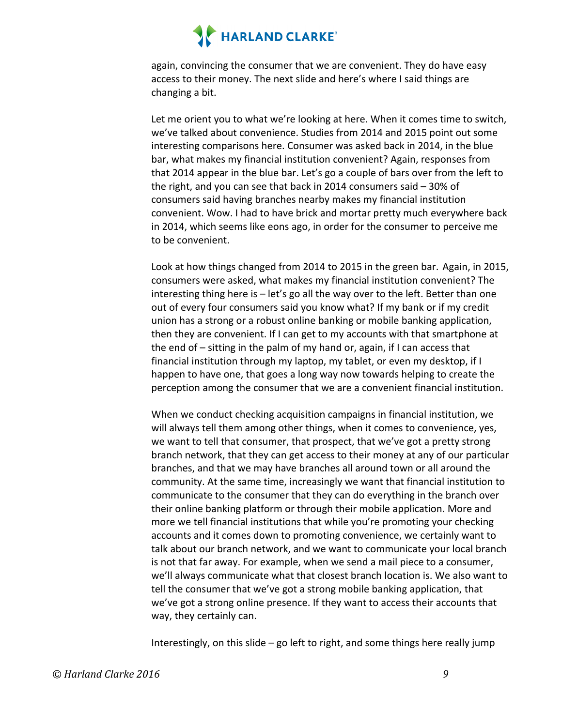again, convincing the consumer that we are convenient. They do have easy access to their money. The next slide and here's where I said things are changing a bit.

Let me orient you to what we're looking at here. When it comes time to switch, we've talked about convenience. Studies from 2014 and 2015 point out some interesting comparisons here. Consumer was asked back in 2014, in the blue bar, what makes my financial institution convenient? Again, responses from that 2014 appear in the blue bar. Let's go a couple of bars over from the left to the right, and you can see that back in 2014 consumers said  $-30\%$  of consumers said having branches nearby makes my financial institution convenient. Wow. I had to have brick and mortar pretty much everywhere back in 2014, which seems like eons ago, in order for the consumer to perceive me to be convenient.

Look at how things changed from 2014 to 2015 in the green bar. Again, in 2015, consumers were asked, what makes my financial institution convenient? The interesting thing here is  $-$  let's go all the way over to the left. Better than one out of every four consumers said you know what? If my bank or if my credit union has a strong or a robust online banking or mobile banking application, then they are convenient. If I can get to my accounts with that smartphone at the end of  $-$  sitting in the palm of my hand or, again, if I can access that financial institution through my laptop, my tablet, or even my desktop, if I happen to have one, that goes a long way now towards helping to create the perception among the consumer that we are a convenient financial institution.

When we conduct checking acquisition campaigns in financial institution, we will always tell them among other things, when it comes to convenience, yes, we want to tell that consumer, that prospect, that we've got a pretty strong branch network, that they can get access to their money at any of our particular branches, and that we may have branches all around town or all around the community. At the same time, increasingly we want that financial institution to communicate to the consumer that they can do everything in the branch over their online banking platform or through their mobile application. More and more we tell financial institutions that while you're promoting your checking accounts and it comes down to promoting convenience, we certainly want to talk about our branch network, and we want to communicate your local branch is not that far away. For example, when we send a mail piece to a consumer, we'll always communicate what that closest branch location is. We also want to tell the consumer that we've got a strong mobile banking application, that we've got a strong online presence. If they want to access their accounts that way, they certainly can.

Interestingly, on this slide  $-$  go left to right, and some things here really jump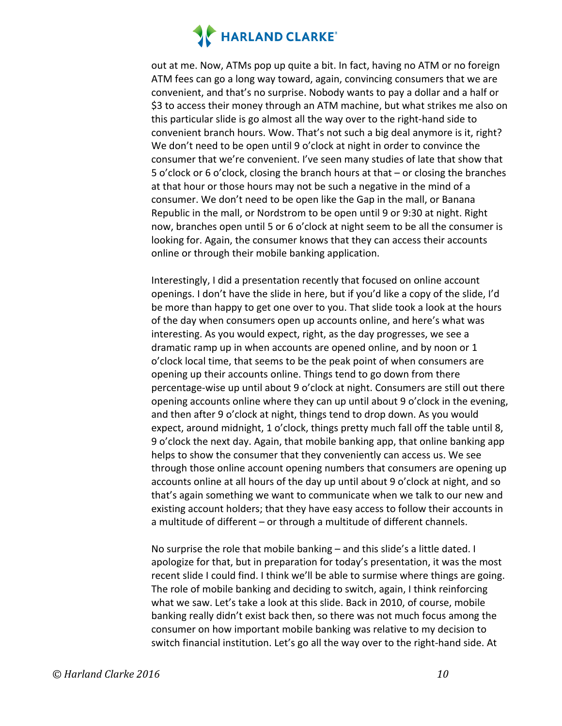out at me. Now, ATMs pop up quite a bit. In fact, having no ATM or no foreign ATM fees can go a long way toward, again, convincing consumers that we are convenient, and that's no surprise. Nobody wants to pay a dollar and a half or \$3 to access their money through an ATM machine, but what strikes me also on this particular slide is go almost all the way over to the right-hand side to convenient branch hours. Wow. That's not such a big deal anymore is it, right? We don't need to be open until 9 o'clock at night in order to convince the consumer that we're convenient. I've seen many studies of late that show that 5 o'clock or 6 o'clock, closing the branch hours at that – or closing the branches at that hour or those hours may not be such a negative in the mind of a consumer. We don't need to be open like the Gap in the mall, or Banana Republic in the mall, or Nordstrom to be open until 9 or 9:30 at night. Right now, branches open until 5 or 6 o'clock at night seem to be all the consumer is looking for. Again, the consumer knows that they can access their accounts online or through their mobile banking application.

Interestingly, I did a presentation recently that focused on online account openings. I don't have the slide in here, but if you'd like a copy of the slide, I'd be more than happy to get one over to you. That slide took a look at the hours of the day when consumers open up accounts online, and here's what was interesting. As you would expect, right, as the day progresses, we see a dramatic ramp up in when accounts are opened online, and by noon or 1 o'clock local time, that seems to be the peak point of when consumers are opening up their accounts online. Things tend to go down from there percentage-wise up until about 9 o'clock at night. Consumers are still out there opening accounts online where they can up until about 9 o'clock in the evening, and then after 9 o'clock at night, things tend to drop down. As you would expect, around midnight, 1 o'clock, things pretty much fall off the table until 8, 9 o'clock the next day. Again, that mobile banking app, that online banking app helps to show the consumer that they conveniently can access us. We see through those online account opening numbers that consumers are opening up accounts online at all hours of the day up until about 9 o'clock at night, and so that's again something we want to communicate when we talk to our new and existing account holders; that they have easy access to follow their accounts in a multitude of different – or through a multitude of different channels.

No surprise the role that mobile banking  $-$  and this slide's a little dated. I apologize for that, but in preparation for today's presentation, it was the most recent slide I could find. I think we'll be able to surmise where things are going. The role of mobile banking and deciding to switch, again, I think reinforcing what we saw. Let's take a look at this slide. Back in 2010, of course, mobile banking really didn't exist back then, so there was not much focus among the consumer on how important mobile banking was relative to my decision to switch financial institution. Let's go all the way over to the right-hand side. At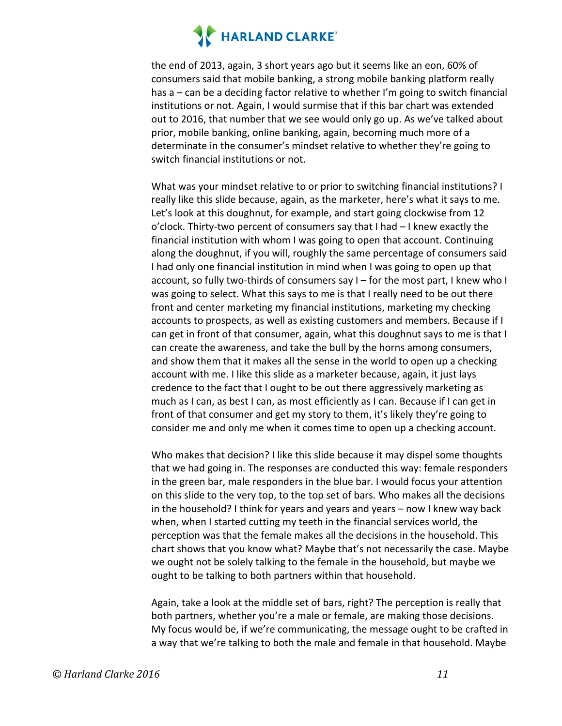the end of 2013, again, 3 short years ago but it seems like an eon, 60% of consumers said that mobile banking, a strong mobile banking platform really has  $a -$  can be a deciding factor relative to whether I'm going to switch financial institutions or not. Again, I would surmise that if this bar chart was extended out to 2016, that number that we see would only go up. As we've talked about prior, mobile banking, online banking, again, becoming much more of a determinate in the consumer's mindset relative to whether they're going to switch financial institutions or not.

What was your mindset relative to or prior to switching financial institutions? I really like this slide because, again, as the marketer, here's what it says to me. Let's look at this doughnut, for example, and start going clockwise from 12 o'clock. Thirty-two percent of consumers say that I had - I knew exactly the financial institution with whom I was going to open that account. Continuing along the doughnut, if you will, roughly the same percentage of consumers said I had only one financial institution in mind when I was going to open up that account, so fully two-thirds of consumers say  $I$  – for the most part, I knew who I was going to select. What this says to me is that I really need to be out there front and center marketing my financial institutions, marketing my checking accounts to prospects, as well as existing customers and members. Because if I can get in front of that consumer, again, what this doughnut says to me is that I can create the awareness, and take the bull by the horns among consumers, and show them that it makes all the sense in the world to open up a checking account with me. I like this slide as a marketer because, again, it just lays credence to the fact that I ought to be out there aggressively marketing as much as I can, as best I can, as most efficiently as I can. Because if I can get in front of that consumer and get my story to them, it's likely they're going to consider me and only me when it comes time to open up a checking account.

Who makes that decision? I like this slide because it may dispel some thoughts that we had going in. The responses are conducted this way: female responders in the green bar, male responders in the blue bar. I would focus your attention on this slide to the very top, to the top set of bars. Who makes all the decisions in the household? I think for years and years and years  $-$  now I knew way back when, when I started cutting my teeth in the financial services world, the perception was that the female makes all the decisions in the household. This chart shows that you know what? Maybe that's not necessarily the case. Maybe we ought not be solely talking to the female in the household, but maybe we ought to be talking to both partners within that household.

Again, take a look at the middle set of bars, right? The perception is really that both partners, whether you're a male or female, are making those decisions. My focus would be, if we're communicating, the message ought to be crafted in a way that we're talking to both the male and female in that household. Maybe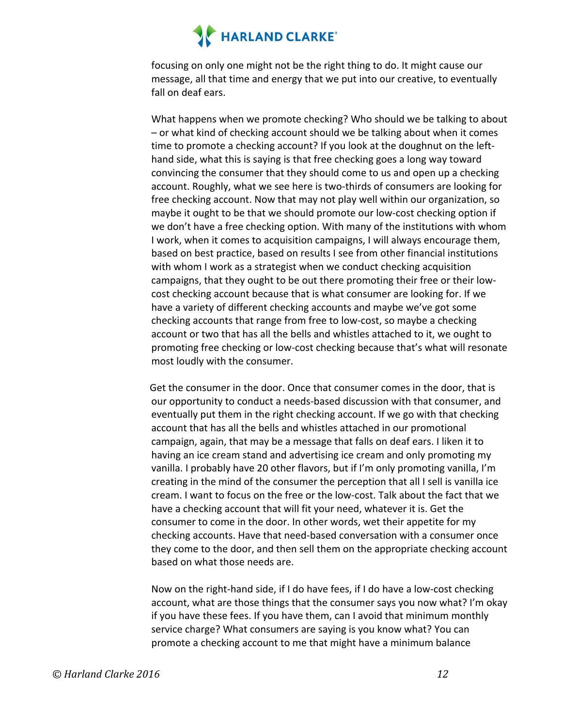focusing on only one might not be the right thing to do. It might cause our message, all that time and energy that we put into our creative, to eventually fall on deaf ears.

What happens when we promote checking? Who should we be talking to about – or what kind of checking account should we be talking about when it comes time to promote a checking account? If you look at the doughnut on the lefthand side, what this is saying is that free checking goes a long way toward convincing the consumer that they should come to us and open up a checking account. Roughly, what we see here is two-thirds of consumers are looking for free checking account. Now that may not play well within our organization, so maybe it ought to be that we should promote our low-cost checking option if we don't have a free checking option. With many of the institutions with whom I work, when it comes to acquisition campaigns, I will always encourage them, based on best practice, based on results I see from other financial institutions with whom I work as a strategist when we conduct checking acquisition campaigns, that they ought to be out there promoting their free or their lowcost checking account because that is what consumer are looking for. If we have a variety of different checking accounts and maybe we've got some checking accounts that range from free to low-cost, so maybe a checking account or two that has all the bells and whistles attached to it, we ought to promoting free checking or low-cost checking because that's what will resonate most loudly with the consumer.

Get the consumer in the door. Once that consumer comes in the door, that is our opportunity to conduct a needs-based discussion with that consumer, and eventually put them in the right checking account. If we go with that checking account that has all the bells and whistles attached in our promotional campaign, again, that may be a message that falls on deaf ears. I liken it to having an ice cream stand and advertising ice cream and only promoting my vanilla. I probably have 20 other flavors, but if I'm only promoting vanilla, I'm creating in the mind of the consumer the perception that all I sell is vanilla ice cream. I want to focus on the free or the low-cost. Talk about the fact that we have a checking account that will fit your need, whatever it is. Get the consumer to come in the door. In other words, wet their appetite for my checking accounts. Have that need-based conversation with a consumer once they come to the door, and then sell them on the appropriate checking account based on what those needs are.

Now on the right-hand side, if I do have fees, if I do have a low-cost checking account, what are those things that the consumer says you now what? I'm okay if you have these fees. If you have them, can I avoid that minimum monthly service charge? What consumers are saying is you know what? You can promote a checking account to me that might have a minimum balance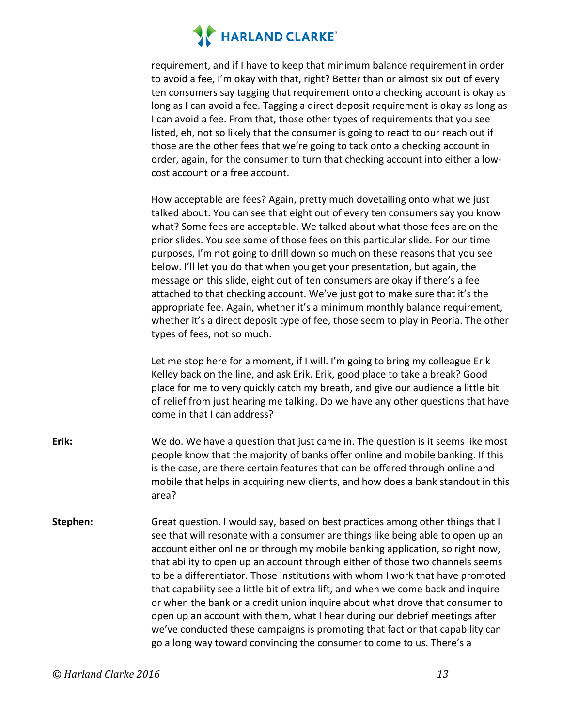requirement, and if I have to keep that minimum balance requirement in order to avoid a fee, I'm okay with that, right? Better than or almost six out of every ten consumers say tagging that requirement onto a checking account is okay as long as I can avoid a fee. Tagging a direct deposit requirement is okay as long as I can avoid a fee. From that, those other types of requirements that you see listed, eh, not so likely that the consumer is going to react to our reach out if those are the other fees that we're going to tack onto a checking account in order, again, for the consumer to turn that checking account into either a lowcost account or a free account.

How acceptable are fees? Again, pretty much dovetailing onto what we just talked about. You can see that eight out of every ten consumers say you know what? Some fees are acceptable. We talked about what those fees are on the prior slides. You see some of those fees on this particular slide. For our time purposes, I'm not going to drill down so much on these reasons that you see below. I'll let you do that when you get your presentation, but again, the message on this slide, eight out of ten consumers are okay if there's a fee attached to that checking account. We've just got to make sure that it's the appropriate fee. Again, whether it's a minimum monthly balance requirement, whether it's a direct deposit type of fee, those seem to play in Peoria. The other types of fees, not so much.

Let me stop here for a moment, if I will. I'm going to bring my colleague Erik Kelley back on the line, and ask Erik. Erik, good place to take a break? Good place for me to very quickly catch my breath, and give our audience a little bit of relief from just hearing me talking. Do we have any other questions that have come in that I can address?

- **Erik:** We do. We have a question that just came in. The question is it seems like most people know that the majority of banks offer online and mobile banking. If this is the case, are there certain features that can be offered through online and mobile that helps in acquiring new clients, and how does a bank standout in this area?
- **Stephen:** Great question. I would say, based on best practices among other things that I see that will resonate with a consumer are things like being able to open up an account either online or through my mobile banking application, so right now, that ability to open up an account through either of those two channels seems to be a differentiator. Those institutions with whom I work that have promoted that capability see a little bit of extra lift, and when we come back and inquire or when the bank or a credit union inquire about what drove that consumer to open up an account with them, what I hear during our debrief meetings after we've conducted these campaigns is promoting that fact or that capability can go a long way toward convincing the consumer to come to us. There's a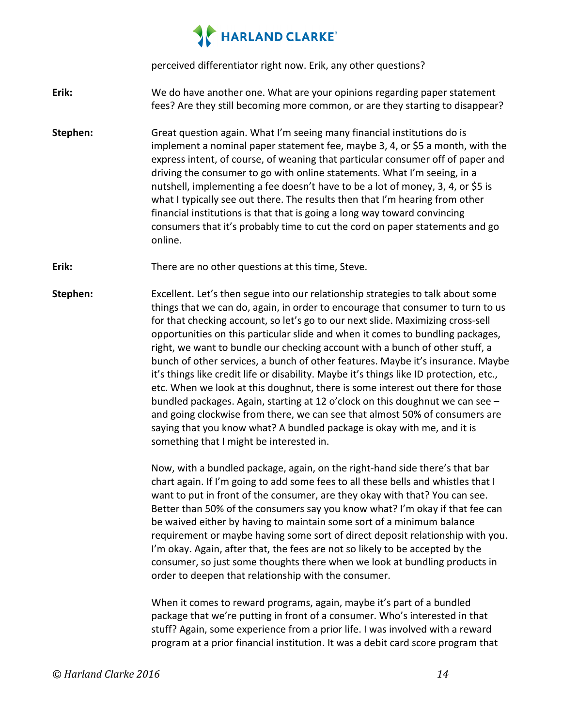perceived differentiator right now. Erik, any other questions?

**Erik:** We do have another one. What are your opinions regarding paper statement fees? Are they still becoming more common, or are they starting to disappear?

- **Stephen:** Great question again. What I'm seeing many financial institutions do is implement a nominal paper statement fee, maybe 3, 4, or \$5 a month, with the express intent, of course, of weaning that particular consumer off of paper and driving the consumer to go with online statements. What I'm seeing, in a nutshell, implementing a fee doesn't have to be a lot of money, 3, 4, or \$5 is what I typically see out there. The results then that I'm hearing from other financial institutions is that that is going a long way toward convincing consumers that it's probably time to cut the cord on paper statements and go online.
- **Erik:** There are no other questions at this time, Steve.
- **Stephen:** Excellent. Let's then segue into our relationship strategies to talk about some things that we can do, again, in order to encourage that consumer to turn to us for that checking account, so let's go to our next slide. Maximizing cross-sell opportunities on this particular slide and when it comes to bundling packages, right, we want to bundle our checking account with a bunch of other stuff, a bunch of other services, a bunch of other features. Maybe it's insurance. Maybe it's things like credit life or disability. Maybe it's things like ID protection, etc., etc. When we look at this doughnut, there is some interest out there for those bundled packages. Again, starting at 12 o'clock on this doughnut we can see  $$ and going clockwise from there, we can see that almost 50% of consumers are saying that you know what? A bundled package is okay with me, and it is something that I might be interested in.

Now, with a bundled package, again, on the right-hand side there's that bar chart again. If I'm going to add some fees to all these bells and whistles that I want to put in front of the consumer, are they okay with that? You can see. Better than 50% of the consumers say you know what? I'm okay if that fee can be waived either by having to maintain some sort of a minimum balance requirement or maybe having some sort of direct deposit relationship with you. I'm okay. Again, after that, the fees are not so likely to be accepted by the consumer, so just some thoughts there when we look at bundling products in order to deepen that relationship with the consumer.

When it comes to reward programs, again, maybe it's part of a bundled package that we're putting in front of a consumer. Who's interested in that stuff? Again, some experience from a prior life. I was involved with a reward program at a prior financial institution. It was a debit card score program that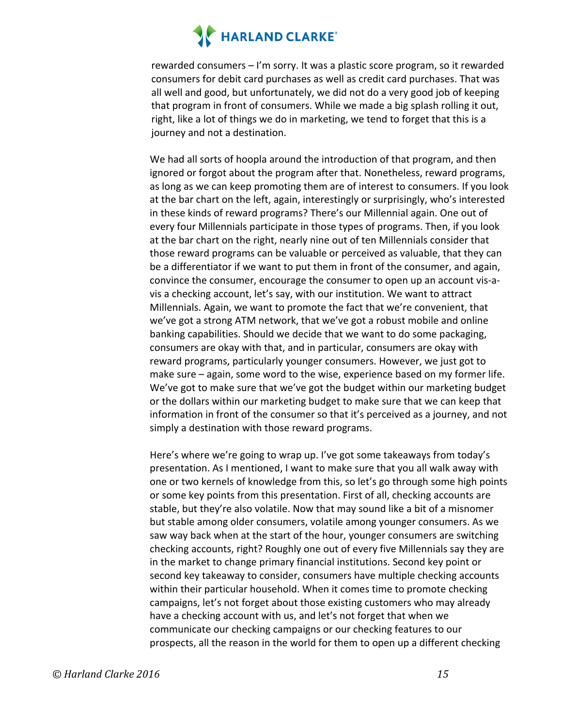rewarded consumers – I'm sorry. It was a plastic score program, so it rewarded consumers for debit card purchases as well as credit card purchases. That was all well and good, but unfortunately, we did not do a very good job of keeping that program in front of consumers. While we made a big splash rolling it out, right, like a lot of things we do in marketing, we tend to forget that this is a journey and not a destination.

We had all sorts of hoopla around the introduction of that program, and then ignored or forgot about the program after that. Nonetheless, reward programs, as long as we can keep promoting them are of interest to consumers. If you look at the bar chart on the left, again, interestingly or surprisingly, who's interested in these kinds of reward programs? There's our Millennial again. One out of every four Millennials participate in those types of programs. Then, if you look at the bar chart on the right, nearly nine out of ten Millennials consider that those reward programs can be valuable or perceived as valuable, that they can be a differentiator if we want to put them in front of the consumer, and again, convince the consumer, encourage the consumer to open up an account vis-avis a checking account, let's say, with our institution. We want to attract Millennials. Again, we want to promote the fact that we're convenient, that we've got a strong ATM network, that we've got a robust mobile and online banking capabilities. Should we decide that we want to do some packaging, consumers are okay with that, and in particular, consumers are okay with reward programs, particularly younger consumers. However, we just got to make sure – again, some word to the wise, experience based on my former life. We've got to make sure that we've got the budget within our marketing budget or the dollars within our marketing budget to make sure that we can keep that information in front of the consumer so that it's perceived as a journey, and not simply a destination with those reward programs.

Here's where we're going to wrap up. I've got some takeaways from today's presentation. As I mentioned, I want to make sure that you all walk away with one or two kernels of knowledge from this, so let's go through some high points or some key points from this presentation. First of all, checking accounts are stable, but they're also volatile. Now that may sound like a bit of a misnomer but stable among older consumers, volatile among younger consumers. As we saw way back when at the start of the hour, younger consumers are switching checking accounts, right? Roughly one out of every five Millennials say they are in the market to change primary financial institutions. Second key point or second key takeaway to consider, consumers have multiple checking accounts within their particular household. When it comes time to promote checking campaigns, let's not forget about those existing customers who may already have a checking account with us, and let's not forget that when we communicate our checking campaigns or our checking features to our prospects, all the reason in the world for them to open up a different checking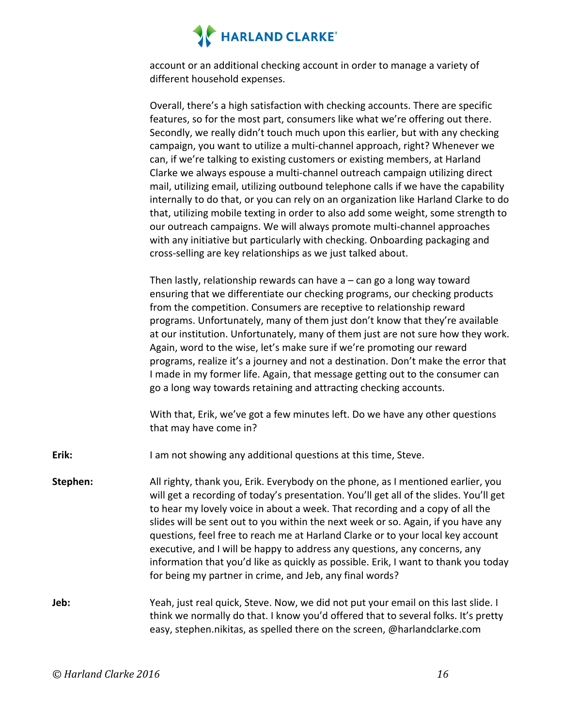account or an additional checking account in order to manage a variety of different household expenses.

Overall, there's a high satisfaction with checking accounts. There are specific features, so for the most part, consumers like what we're offering out there. Secondly, we really didn't touch much upon this earlier, but with any checking campaign, you want to utilize a multi-channel approach, right? Whenever we can, if we're talking to existing customers or existing members, at Harland Clarke we always espouse a multi-channel outreach campaign utilizing direct mail, utilizing email, utilizing outbound telephone calls if we have the capability internally to do that, or you can rely on an organization like Harland Clarke to do that, utilizing mobile texting in order to also add some weight, some strength to our outreach campaigns. We will always promote multi-channel approaches with any initiative but particularly with checking. Onboarding packaging and cross-selling are key relationships as we just talked about.

Then lastly, relationship rewards can have  $a - c$ an go a long way toward ensuring that we differentiate our checking programs, our checking products from the competition. Consumers are receptive to relationship reward programs. Unfortunately, many of them just don't know that they're available at our institution. Unfortunately, many of them just are not sure how they work. Again, word to the wise, let's make sure if we're promoting our reward programs, realize it's a journey and not a destination. Don't make the error that I made in my former life. Again, that message getting out to the consumer can go a long way towards retaining and attracting checking accounts.

With that, Erik, we've got a few minutes left. Do we have any other questions that may have come in?

**Erik:** I am not showing any additional questions at this time, Steve.

**Stephen:** All righty, thank you, Erik. Everybody on the phone, as I mentioned earlier, you will get a recording of today's presentation. You'll get all of the slides. You'll get to hear my lovely voice in about a week. That recording and a copy of all the slides will be sent out to you within the next week or so. Again, if you have any questions, feel free to reach me at Harland Clarke or to your local key account executive, and I will be happy to address any questions, any concerns, any information that you'd like as quickly as possible. Erik, I want to thank you today for being my partner in crime, and Jeb, any final words?

**Jeb:** Yeah, just real quick, Steve. Now, we did not put your email on this last slide. I think we normally do that. I know you'd offered that to several folks. It's pretty easy, stephen.nikitas, as spelled there on the screen, @harlandclarke.com